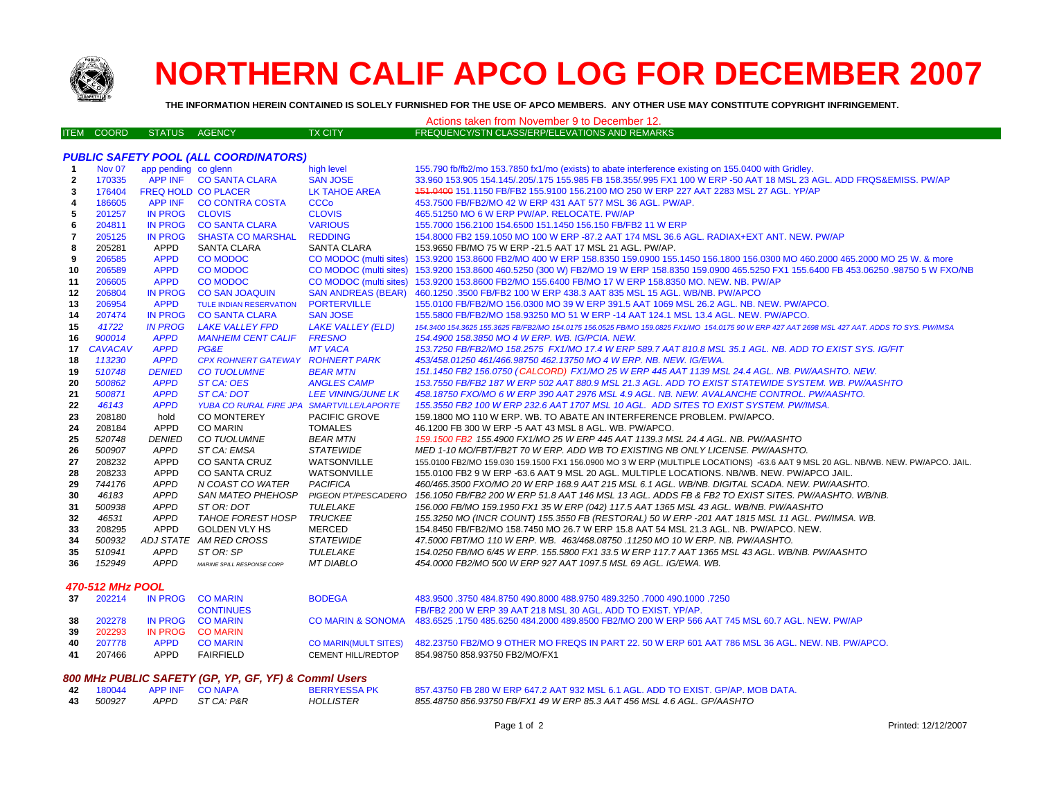

## **NORTHERN CALIF APCO LOG FOR DECEMBER 2007**

**THE INFORMATION HEREIN CONTAINED IS SOLELY FURNISHED FOR THE USE OF APCO MEMBERS. ANY OTHER USE MAY CONSTITUTE COPYRIGHT INFRINGEMENT.**

|                                              |  |               |         | Actions taken from November 9 to December 12.         |  |  |  |
|----------------------------------------------|--|---------------|---------|-------------------------------------------------------|--|--|--|
| <b>ITEM COORD</b>                            |  | STATUS AGENCY | TX CITY | <b>FREQUENCY/STN CLASS/ERP/ELEVATIONS AND REMARKS</b> |  |  |  |
|                                              |  |               |         |                                                       |  |  |  |
| <b>PUBLIC SAFETY POOL (ALL COORDINATORS)</b> |  |               |         |                                                       |  |  |  |

| -1                      | <b>Nov 07</b>  | app pending co glenn |                                           | high level                    | 155.790 fb/fb2/mo 153.7850 fx1/mo (exists) to abate interference existing on 155.0400 with Gridley.                                           |
|-------------------------|----------------|----------------------|-------------------------------------------|-------------------------------|-----------------------------------------------------------------------------------------------------------------------------------------------|
| $\overline{\mathbf{2}}$ | 170335         |                      | APP INF CO SANTA CLARA                    | <b>SAN JOSE</b>               | 33.960 153.905 154.145/.205/.175 155.985 FB 158.355/.995 FX1 100 W ERP -50 AAT 18 MSL 23 AGL. ADD FRQS&EMISS. PW/AP                           |
| 3                       | 176404         |                      | <b>FREQ HOLD CO PLACER</b>                | <b>LK TAHOE AREA</b>          | 151,0400 151,1150 FB/FB2 155,9100 156,2100 MO 250 W ERP 227 AAT 2283 MSL 27 AGL, YP/AP                                                        |
| 4                       | 186605         | <b>APP INF</b>       | <b>CO CONTRA COSTA</b>                    | <b>CCCo</b>                   | 453.7500 FB/FB2/MO 42 W ERP 431 AAT 577 MSL 36 AGL, PW/AP.                                                                                    |
| 5                       | 201257         | <b>IN PROG</b>       | <b>CLOVIS</b>                             | <b>CLOVIS</b>                 | 465.51250 MO 6 W ERP PW/AP. RELOCATE. PW/AP                                                                                                   |
| 6                       | 204811         | <b>IN PROG</b>       | <b>CO SANTA CLARA</b>                     | <b>VARIOUS</b>                | 155,7000 156,2100 154,6500 151,1450 156,150 FB/FB2 11 W ERP                                                                                   |
| $\overline{7}$          | 205125         | <b>IN PROG</b>       | <b>SHASTA CO MARSHAL</b>                  | <b>REDDING</b>                | 154,8000 FB2 159,1050 MO 100 W ERP -87.2 AAT 174 MSL 36.6 AGL, RADIAX+EXT ANT, NEW, PW/AP                                                     |
| 8                       | 205281         | APPD                 | <b>SANTA CLARA</b>                        | <b>SANTA CLARA</b>            | 153.9650 FB/MO 75 W ERP -21.5 AAT 17 MSL 21 AGL. PW/AP.                                                                                       |
| 9                       | 206585         | <b>APPD</b>          | <b>CO MODOC</b>                           | <b>CO MODOC</b> (multi sites) | 153,9200 153,8600 FB2/MO 400 W ERP 158,8350 159,0900 155,1450 156,1800 156,0300 MO 460,2000 465,2000 MO 25 W. & more                          |
| 10                      | 206589         | <b>APPD</b>          | <b>CO MODOC</b>                           | CO MODOC (multi sites)        | 153,9200 153,8600 460,5250 (300 W) FB2/MO 19 W ERP 158,8350 159,0900 465,5250 FX1 155,6400 FB 453,06250 ,98750 5 W FXO/NB                     |
| 11                      | 206605         | <b>APPD</b>          | <b>CO MODOC</b>                           |                               | CO MODOC (multi sites) 153.9200 153.8600 FB2/MO 155.6400 FB/MO 17 W ERP 158.8350 MO. NEW. NB. PW/AP                                           |
| 12                      | 206804         | <b>IN PROG</b>       | <b>CO SAN JOAQUIN</b>                     | <b>SAN ANDREAS (BEAR)</b>     | 460.1250 .3500 FB/FB2 100 W ERP 438.3 AAT 835 MSL 15 AGL, WB/NB, PW/APCO                                                                      |
| 13                      | 206954         | <b>APPD</b>          | <b>TULE INDIAN RESERVATION</b>            | <b>PORTERVILLE</b>            | 155.0100 FB/FB2/MO 156.0300 MO 39 W ERP 391.5 AAT 1069 MSL 26.2 AGL. NB. NEW. PW/APCO.                                                        |
| 14                      | 207474         | <b>IN PROG</b>       | <b>CO SANTA CLARA</b>                     | <b>SAN JOSE</b>               | 155,5800 FB/FB2/MO 158,93250 MO 51 W ERP -14 AAT 124.1 MSL 13.4 AGL, NEW, PW/APCO,                                                            |
| 15                      | 41722          | <b>IN PROG</b>       | <b>LAKE VALLEY FPD</b>                    | <b>LAKE VALLEY (ELD)</b>      | 154,3400 154,3625 155,3625 FB/FB2/MO 154,0175 156,0525 FB/MO 159,0825 FX1/MO 154,0175 90 W ERP 427 AAT 2698 MSL 427 AAT, ADDS TO SYS, PW/IMSA |
| 16                      | 900014         | <b>APPD</b>          | <b>MANHEIM CENT CALIF</b>                 | <b>FRESNO</b>                 | 154.4900 158.3850 MO 4 W ERP. WB. IG/PCIA. NEW.                                                                                               |
| 17                      | <b>CAVACAV</b> | <b>APPD</b>          | <b>PG&amp;E</b>                           | <b>MT VACA</b>                | 153.7250 FB/FB2/MO 158.2575 FX1/MO 17.4 W ERP 589.7 AAT 810.8 MSL 35.1 AGL. NB. ADD TO EXIST SYS. IG/FIT                                      |
| 18                      | 113230         | <b>APPD</b>          | CPX ROHNERT GATEWAY ROHNERT PARK          |                               | 453/458.01250 461/466.98750 462.13750 MO 4 W ERP. NB. NEW. IG/EWA.                                                                            |
| -19                     | 510748         | <b>DENIED</b>        | <b>CO TUOLUMNE</b>                        | <b>BEAR MTN</b>               | 151.1450 FB2 156.0750 (CALCORD) FX1/MO 25 W ERP 445 AAT 1139 MSL 24.4 AGL. NB. PW/AASHTO. NEW.                                                |
| 20                      | 500862         | <b>APPD</b>          | ST CA: OES                                | <b>ANGLES CAMP</b>            | 153.7550 FB/FB2 187 W ERP 502 AAT 880.9 MSL 21.3 AGL. ADD TO EXIST STATEWIDE SYSTEM. WB. PW/AASHTO                                            |
| 21                      | 500871         | <b>APPD</b>          | ST CA: DOT                                | <b>LEE VINING/JUNE LK</b>     | 458.18750 FXO/MO 6 W ERP 390 AAT 2976 MSL 4.9 AGL. NB. NEW. AVALANCHE CONTROL. PW/AASHTO.                                                     |
| 22                      | 46143          | <b>APPD</b>          | YUBA CO RURAL FIRE JPA SMARTVILLE/LAPORTE |                               | 155.3550 FB2 100 W ERP 232.6 AAT 1707 MSL 10 AGL. ADD SITES TO EXIST SYSTEM. PW/IMSA.                                                         |
| 23                      | 208180         | hold                 | CO MONTEREY                               | <b>PACIFIC GROVE</b>          | 159.1800 MO 110 W ERP. WB. TO ABATE AN INTERFERENCE PROBLEM. PW/APCO.                                                                         |
| 24                      | 208184         | <b>APPD</b>          | <b>CO MARIN</b>                           | TOMALES                       | 46.1200 FB 300 W ERP -5 AAT 43 MSL 8 AGL, WB, PW/APCO,                                                                                        |
| 25                      | 520748         | <b>DENIED</b>        | <b>CO TUOLUMNE</b>                        | <b>BEAR MTN</b>               | 159.1500 FB2 155.4900 FX1/MO 25 W ERP 445 AAT 1139.3 MSL 24.4 AGL. NB. PW/AASHTO                                                              |
| 26                      | 500907         | APPD                 | ST CA: EMSA                               | <b>STATEWIDE</b>              | MED 1-10 MO/FBT/FB2T 70 W ERP. ADD WB TO EXISTING NB ONLY LICENSE. PW/AASHTO.                                                                 |
| 27                      | 208232         | <b>APPD</b>          | <b>CO SANTA CRUZ</b>                      | WATSONVILLE                   | 155.0100 FB2/MO 159.030 159.1500 FX1 156.0900 MO 3 W ERP (MULTIPLE LOCATIONS) -63.6 AAT 9 MSL 20 AGL. NB/WB. NEW. PW/APCO. JAIL.              |
| 28                      | 208233         | <b>APPD</b>          | <b>CO SANTA CRUZ</b>                      | WATSONVILLE                   | 155,0100 FB2 9 W ERP -63.6 AAT 9 MSL 20 AGL. MULTIPLE LOCATIONS, NB/WB, NEW, PW/APCO JAIL.                                                    |
| 29                      | 744176         | <b>APPD</b>          | N COAST CO WATER                          | <b>PACIFICA</b>               | 460/465.3500 FXO/MO 20 W ERP 168.9 AAT 215 MSL 6.1 AGL. WB/NB. DIGITAL SCADA. NEW. PW/AASHTO.                                                 |
| 30                      | 46183          | <b>APPD</b>          | <b>SAN MATEO PHEHOSP</b>                  | PIGEON PT/PESCADERO           | 156.1050 FB/FB2 200 W ERP 51.8 AAT 146 MSL 13 AGL. ADDS FB & FB2 TO EXIST SITES. PW/AASHTO. WB/NB.                                            |
| 31                      | 500938         | <b>APPD</b>          | ST OR: DOT                                | TULELAKE                      | 156.000 FB/MO 159.1950 FX1 35 W ERP (042) 117.5 AAT 1365 MSL 43 AGL. WB/NB. PW/AASHTO                                                         |
| 32                      | 46531          | <b>APPD</b>          | <b>TAHOE FOREST HOSP</b>                  | <b>TRUCKEE</b>                | 155.3250 MO (INCR COUNT) 155.3550 FB (RESTORAL) 50 W ERP -201 AAT 1815 MSL 11 AGL. PW/IMSA. WB.                                               |
| 33                      | 208295         | <b>APPD</b>          | <b>GOLDEN VLY HS</b>                      | MERCED                        | 154.8450 FB/FB2/MO 158.7450 MO 26.7 W ERP 15.8 AAT 54 MSL 21.3 AGL. NB. PW/APCO, NEW.                                                         |
| 34                      | 500932         |                      | ADJ STATE AM RED CROSS                    | <b>STATEWIDE</b>              | 47.5000 FBT/MO 110 W ERP. WB. 463/468.08750 .11250 MO 10 W ERP. NB. PW/AASHTO.                                                                |
| 35                      | 510941         | APPD                 | ST OR: SP                                 | TULELAKE                      | 154.0250 FB/MO 6/45 W ERP. 155.5800 FX1 33.5 W ERP 117.7 AAT 1365 MSL 43 AGL. WB/NB. PW/AASHTO                                                |
| 36                      | 152949         | <b>APPD</b>          | MARINE SPILL RESPONSE CORP                | MT DIABLO                     | 454,0000 FB2/MO 500 W ERP 927 AAT 1097.5 MSL 69 AGL. IG/EWA, WB.                                                                              |

## *470-512 MHz POOL*

| 37 | 202214 |             | IN PROG CO MARIN | <b>BODEGA</b>      | 483,9500 .3750 484,8750 490,8000 488,9750 489,3250 .7000 490,1000 .7250                                               |
|----|--------|-------------|------------------|--------------------|-----------------------------------------------------------------------------------------------------------------------|
|    |        |             | <b>CONTINUES</b> |                    | FB/FB2 200 W ERP 39 AAT 218 MSL 30 AGL, ADD TO EXIST, YP/AP,                                                          |
| 38 | 202278 |             | IN PROG CO MARIN |                    | CO MARIN & SONOMA 483.6525 .1750 485.6250 484.2000 489.8500 FB2/MO 200 W ERP 566 AAT 745 MSL 60.7 AGL. NEW. PW/AP     |
| 39 | 202293 |             | IN PROG CO MARIN |                    |                                                                                                                       |
| 40 | 207778 | <b>APPD</b> | CO MARIN         |                    | CO MARIN(MULT SITES) 482.23750 FB2/MO 9 OTHER MO FREQS IN PART 22, 50 W ERP 601 AAT 786 MSL 36 AGL. NEW, NB, PW/APCO, |
|    | 207466 | APPD.       | <b>FAIRFIELD</b> | CEMENT HILL/REDTOP | 854.98750 858.93750 FB2/MO/FX1                                                                                        |

|                         |      | 800 MHz PUBLIC SAFETY (GP, YP, GF, YF) & Commi Users |                     |                                                                                  |
|-------------------------|------|------------------------------------------------------|---------------------|----------------------------------------------------------------------------------|
| 42 180044 APPINE CONAPA |      |                                                      | <b>BERRYESSA PK</b> | 857.43750 FB 280 W ERP 647.2 AAT 932 MSL 6.1 AGL. ADD TO EXIST, GP/AP, MOB DATA. |
| 43 500927               | APPD | ST CA: P&R                                           | <b>HOLLISTER</b>    | 855.48750 856.93750 FB/FX1 49 W ERP 85.3 AAT 456 MSL 4.6 AGL. GP/AASHTO          |